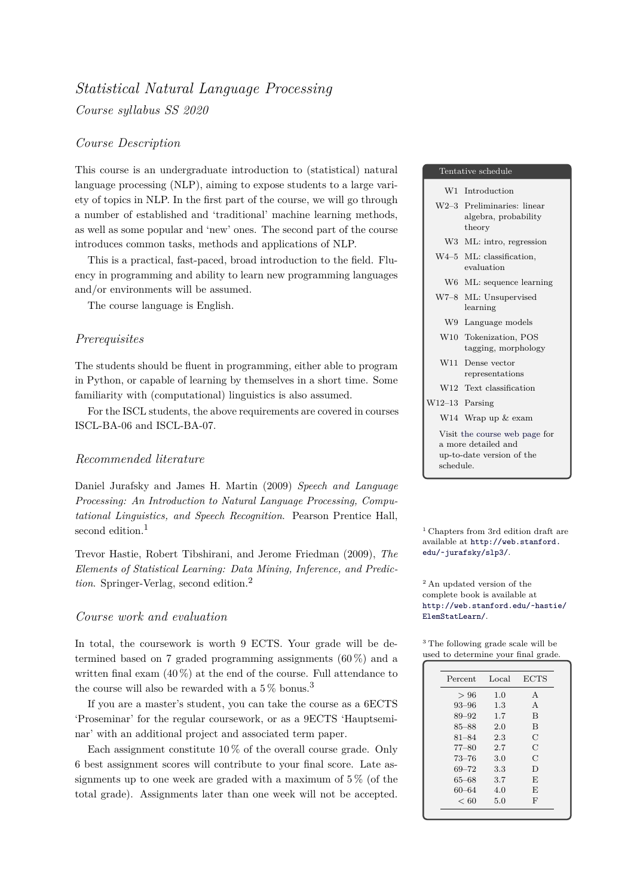# *Statistical Natural Language Processing Course syllabus SS 2020*

# *Course Description*

This course is an undergraduate introduction to (statistical) natural language processing (NLP), aiming to expose students to a large variety of topics in NLP. In the first part of the course, we will go through a number of established and 'traditional' machine learning methods, as well as some popular and 'new' ones. The second part of the course introduces common tasks, methods and applications of NLP.

This is a practical, fast-paced, broad introduction to the field. Fluency in programming and ability to learn new programming languages and/or environments will be assumed.

The course language is English.

#### *Prerequisites*

The students should be fluent in programming, either able to program in Python, or capable of learning by themselves in a short time. Some familiarity with (computational) linguistics is also assumed.

For the ISCL students, the above requirements are covered in courses ISCL-BA-06 and ISCL-BA-07.

# *Recommended literature*

Daniel Jurafsky and James H. Martin (2009) *Speech and Language Processing: An Introduction to Natural Language Processing, Computational Linguistics, and Speech Recognition*. Pearson Prentice Hall, second edition.<sup>1</sup>  $\qquad \qquad$  1 Chapters from 3rd edition draft are

Trevor Hastie, Robert Tibshirani, and Jerome Friedman (2009), *The* edu/~jurafsky/slp3/. *Elements of Statistical Learning: Data Mining, Inference, and Prediction*. Springer-Verlag, second edition.<sup>2</sup> 2 An updated version of the

## *Course work and evaluation* ElemStatLearn/.

In total, the coursework is worth 9 ECTS. Your grade will be determined based on 7 graded programming assignments  $(60\%)$  and a written final exam  $(40\%)$  at the end of the course. Full attendance to the course will also be rewarded with a  $5\%$  bonus.<sup>3</sup>

If you are a master's student, you can take the course as a 6ECTS 'Proseminar' for the regular coursework, or as a 9ECTS 'Hauptseminar' with an additional project and associated term paper.

Each assignment constitute  $10\%$  of the overall course grade. Only 6 best assignment scores will contribute to your final score. Late assignments up to one week are graded with a maximum of  $5\%$  (of the total grade). Assignments later than one week will not be accepted.

#### Tentative schedule

| Introduction<br>W1 |
|--------------------|
|--------------------|

- W2–3 Preliminaries: linear algebra, probability theory
- W3 ML: intro, regression
- W4–5 ML: classification, evaluation
- W6 ML: sequence learning
- W7–8 ML: Unsupervised learning
	- W9 Language models
- W10 Tokenization, POS tagging, morphology
- W11 Dense vector representations
- W12 Text classification

W14 Wrap up & exam

W12–13 Parsing

Visit the course web page for a more detailed and up-to-date version of the schedule.

available at http://web.stanford.

complete bo[ok is available at](http://web.stanford.edu/~jurafsky/slp3/) [http://web.stanford](http://web.stanford.edu/~jurafsky/slp3/).edu/~hastie/

<sup>3</sup> The following grade scale will be [used to determine your final grade.](http://web.stanford.edu/~hastie/ElemStatLearn/)

| Percent   | Local | <b>ECTS</b>   |
|-----------|-------|---------------|
| >96       | 1.0   | A             |
| $93 - 96$ | 1.3   | A             |
| 89-92     | 1.7   | B             |
| $85 - 88$ | 2.0   | B             |
| $81 - 84$ | 2.3   | С             |
| $77 - 80$ | 2.7   | $\mathcal{C}$ |
| $73 - 76$ | 3.0   | $\mathcal{C}$ |
| $69 - 72$ | 3.3   | D             |
| 65–68     | 3.7   | E             |
| 60–64     | 4.0   | E             |
| < 60      | 5.0   | F             |